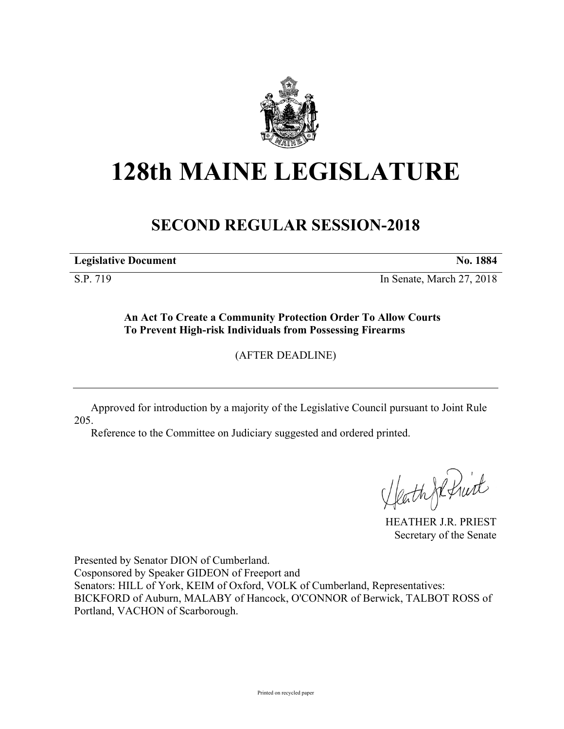

# **128th MAINE LEGISLATURE**

# **SECOND REGULAR SESSION-2018**

**Legislative Document No. 1884**

S.P. 719 In Senate, March 27, 2018

**An Act To Create a Community Protection Order To Allow Courts To Prevent High-risk Individuals from Possessing Firearms**

(AFTER DEADLINE)

Approved for introduction by a majority of the Legislative Council pursuant to Joint Rule 205.

Reference to the Committee on Judiciary suggested and ordered printed.

HeathJefruit

HEATHER J.R. PRIEST Secretary of the Senate

Presented by Senator DION of Cumberland. Cosponsored by Speaker GIDEON of Freeport and Senators: HILL of York, KEIM of Oxford, VOLK of Cumberland, Representatives: BICKFORD of Auburn, MALABY of Hancock, O'CONNOR of Berwick, TALBOT ROSS of Portland, VACHON of Scarborough.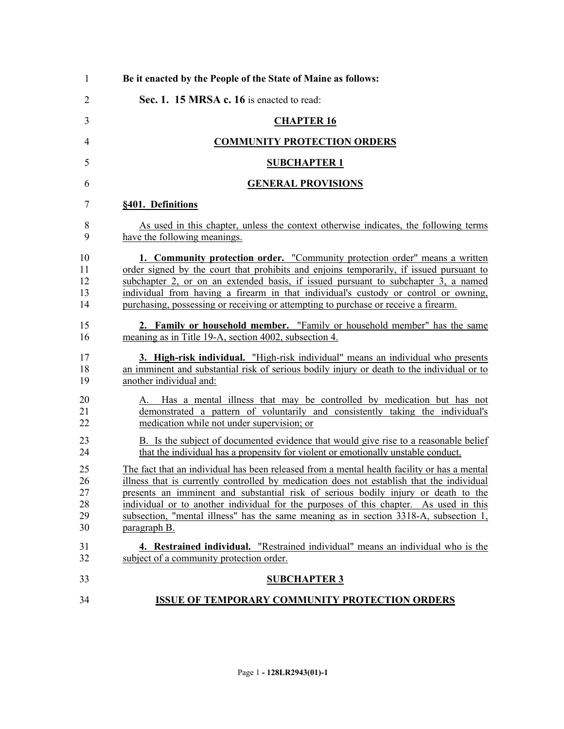| $\mathbf{1}$                     | Be it enacted by the People of the State of Maine as follows:                                                                                                                                                                                                                                                                                                                                                                                                                    |
|----------------------------------|----------------------------------------------------------------------------------------------------------------------------------------------------------------------------------------------------------------------------------------------------------------------------------------------------------------------------------------------------------------------------------------------------------------------------------------------------------------------------------|
| $\overline{2}$                   | Sec. 1. 15 MRSA c. 16 is enacted to read:                                                                                                                                                                                                                                                                                                                                                                                                                                        |
| 3                                | <b>CHAPTER 16</b>                                                                                                                                                                                                                                                                                                                                                                                                                                                                |
| $\overline{4}$                   | <b>COMMUNITY PROTECTION ORDERS</b>                                                                                                                                                                                                                                                                                                                                                                                                                                               |
| 5                                | <b>SUBCHAPTER 1</b>                                                                                                                                                                                                                                                                                                                                                                                                                                                              |
| 6                                | <b>GENERAL PROVISIONS</b>                                                                                                                                                                                                                                                                                                                                                                                                                                                        |
| 7                                | §401. Definitions                                                                                                                                                                                                                                                                                                                                                                                                                                                                |
| 8<br>9                           | As used in this chapter, unless the context otherwise indicates, the following terms<br>have the following meanings.                                                                                                                                                                                                                                                                                                                                                             |
| 10<br>11<br>12<br>13<br>14       | 1. Community protection order. "Community protection order" means a written<br>order signed by the court that prohibits and enjoins temporarily, if issued pursuant to<br>subchapter 2, or on an extended basis, if issued pursuant to subchapter 3, a named<br>individual from having a firearm in that individual's custody or control or owning,<br>purchasing, possessing or receiving or attempting to purchase or receive a firearm.                                       |
| 15<br>16                         | 2. Family or household member. "Family or household member" has the same<br>meaning as in Title 19-A, section 4002, subsection 4.                                                                                                                                                                                                                                                                                                                                                |
| 17<br>18<br>19                   | 3. High-risk individual. "High-risk individual" means an individual who presents<br>an imminent and substantial risk of serious bodily injury or death to the individual or to<br>another individual and:                                                                                                                                                                                                                                                                        |
| 20<br>21<br>$\overline{22}$      | A. Has a mental illness that may be controlled by medication but has not<br>demonstrated a pattern of voluntarily and consistently taking the individual's<br>medication while not under supervision; or                                                                                                                                                                                                                                                                         |
| 23<br>24                         | B. Is the subject of documented evidence that would give rise to a reasonable belief<br>that the individual has a propensity for violent or emotionally unstable conduct.                                                                                                                                                                                                                                                                                                        |
| 25<br>26<br>27<br>28<br>29<br>30 | The fact that an individual has been released from a mental health facility or has a mental<br>illness that is currently controlled by medication does not establish that the individual<br>presents an imminent and substantial risk of serious bodily injury or death to the<br>individual or to another individual for the purposes of this chapter. As used in this<br>subsection, "mental illness" has the same meaning as in section 3318-A, subsection 1,<br>paragraph B. |
| 31<br>32                         | 4. Restrained individual. "Restrained individual" means an individual who is the<br>subject of a community protection order.                                                                                                                                                                                                                                                                                                                                                     |
| 33                               | <b>SUBCHAPTER 3</b>                                                                                                                                                                                                                                                                                                                                                                                                                                                              |
| 34                               | <b>ISSUE OF TEMPORARY COMMUNITY PROTECTION ORDERS</b>                                                                                                                                                                                                                                                                                                                                                                                                                            |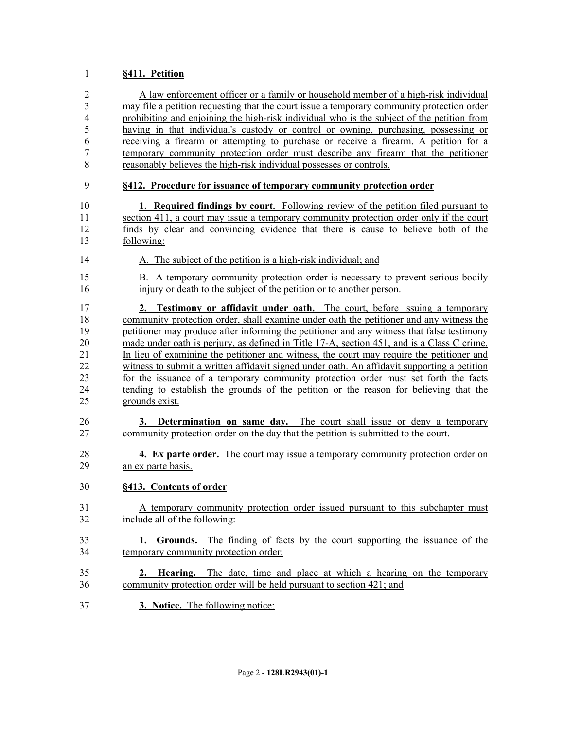# **§411. Petition**

| $\overline{2}$           | A law enforcement officer or a family or household member of a high-risk individual                                                                       |
|--------------------------|-----------------------------------------------------------------------------------------------------------------------------------------------------------|
| 3                        | may file a petition requesting that the court issue a temporary community protection order                                                                |
| $\overline{\mathcal{A}}$ | prohibiting and enjoining the high-risk individual who is the subject of the petition from                                                                |
| 5                        | having in that individual's custody or control or owning, purchasing, possessing or                                                                       |
| 6<br>7                   | receiving a firearm or attempting to purchase or receive a firearm. A petition for a                                                                      |
| 8                        | temporary community protection order must describe any firearm that the petitioner<br>reasonably believes the high-risk individual possesses or controls. |
| 9                        | §412. Procedure for issuance of temporary community protection order                                                                                      |
| 10                       | <b>1. Required findings by court.</b> Following review of the petition filed pursuant to                                                                  |
| 11                       | section 411, a court may issue a temporary community protection order only if the court                                                                   |
| 12                       | finds by clear and convincing evidence that there is cause to believe both of the                                                                         |
| 13                       | following:                                                                                                                                                |
| 14                       | A. The subject of the petition is a high-risk individual; and                                                                                             |
| 15                       | B. A temporary community protection order is necessary to prevent serious bodily                                                                          |
| 16                       | injury or death to the subject of the petition or to another person.                                                                                      |
| 17                       | 2. Testimony or affidavit under oath. The court, before issuing a temporary                                                                               |
| 18                       | community protection order, shall examine under oath the petitioner and any witness the                                                                   |
| 19                       | petitioner may produce after informing the petitioner and any witness that false testimony                                                                |
| 20                       | made under oath is perjury, as defined in Title 17-A, section 451, and is a Class C crime.                                                                |
| 21                       | In lieu of examining the petitioner and witness, the court may require the petitioner and                                                                 |
| 22                       | witness to submit a written affidavit signed under oath. An affidavit supporting a petition                                                               |
| 23                       | for the issuance of a temporary community protection order must set forth the facts                                                                       |
| 24                       | tending to establish the grounds of the petition or the reason for believing that the                                                                     |
| 25                       | grounds exist.                                                                                                                                            |
| 26                       | 3. Determination on same day. The court shall issue or deny a temporary                                                                                   |
| 27                       | community protection order on the day that the petition is submitted to the court.                                                                        |
|                          |                                                                                                                                                           |
| 28                       | 4. Ex parte order. The court may issue a temporary community protection order on                                                                          |
| 29                       | an ex parte basis.                                                                                                                                        |
| 30                       | §413. Contents of order                                                                                                                                   |
| 31                       | A temporary community protection order issued pursuant to this subchapter must                                                                            |
| 32                       | include all of the following:                                                                                                                             |
| 33                       | <b>1. Grounds.</b> The finding of facts by the court supporting the issuance of the                                                                       |
| 34                       | temporary community protection order;                                                                                                                     |
| 35                       | 2. Hearing. The date, time and place at which a hearing on the temporary                                                                                  |
| 36                       | community protection order will be held pursuant to section 421; and                                                                                      |
| 37                       | 3. Notice. The following notice:                                                                                                                          |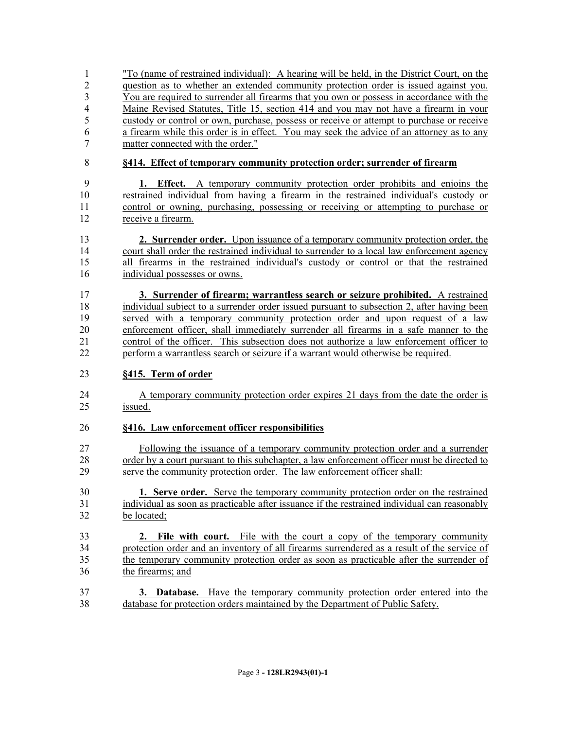"To (name of restrained individual): A hearing will be held, in the District Court, on the question as to whether an extended community protection order is issued against you. You are required to surrender all firearms that you own or possess in accordance with the Maine Revised Statutes, Title 15, section 414 and you may not have a firearm in your custody or control or own, purchase, possess or receive or attempt to purchase or receive a firearm while this order is in effect. You may seek the advice of an attorney as to any matter connected with the order."

# **§414. Effect of temporary community protection order; surrender of firearm**

- **1. Effect.** A temporary community protection order prohibits and enjoins the restrained individual from having a firearm in the restrained individual's custody or control or owning, purchasing, possessing or receiving or attempting to purchase or receive a firearm.
- **2. Surrender order.** Upon issuance of a temporary community protection order, the court shall order the restrained individual to surrender to a local law enforcement agency all firearms in the restrained individual's custody or control or that the restrained individual possesses or owns.
- **3. Surrender of firearm; warrantless search or seizure prohibited.** A restrained individual subject to a surrender order issued pursuant to subsection 2, after having been served with a temporary community protection order and upon request of a law enforcement officer, shall immediately surrender all firearms in a safe manner to the control of the officer. This subsection does not authorize a law enforcement officer to perform a warrantless search or seizure if a warrant would otherwise be required.

# **§415. Term of order**

24 A temporary community protection order expires 21 days from the date the order is issued.

# **§416. Law enforcement officer responsibilities**

 Following the issuance of a temporary community protection order and a surrender 28 order by a court pursuant to this subchapter, a law enforcement officer must be directed to serve the community protection order. The law enforcement officer shall:

- **1. Serve order.** Serve the temporary community protection order on the restrained individual as soon as practicable after issuance if the restrained individual can reasonably be located;
- **2. File with court.** File with the court a copy of the temporary community protection order and an inventory of all firearms surrendered as a result of the service of the temporary community protection order as soon as practicable after the surrender of the firearms; and
- **3. Database.** Have the temporary community protection order entered into the database for protection orders maintained by the Department of Public Safety.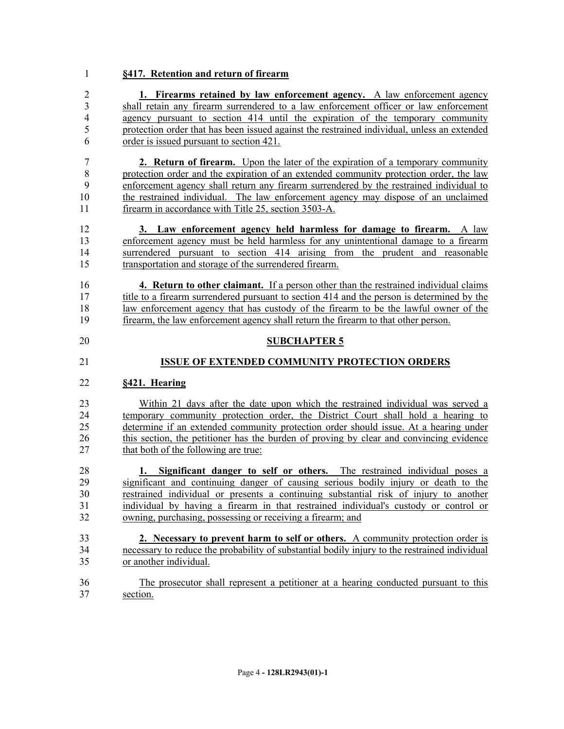### **§417. Retention and return of firearm**

 **1. Firearms retained by law enforcement agency.** A law enforcement agency shall retain any firearm surrendered to a law enforcement officer or law enforcement agency pursuant to section 414 until the expiration of the temporary community protection order that has been issued against the restrained individual, unless an extended order is issued pursuant to section 421.

 **2. Return of firearm.** Upon the later of the expiration of a temporary community protection order and the expiration of an extended community protection order, the law enforcement agency shall return any firearm surrendered by the restrained individual to the restrained individual. The law enforcement agency may dispose of an unclaimed 11 firearm in accordance with Title 25, section 3503-A.

 **3. Law enforcement agency held harmless for damage to firearm.** A law enforcement agency must be held harmless for any unintentional damage to a firearm surrendered pursuant to section 414 arising from the prudent and reasonable transportation and storage of the surrendered firearm.

 **4. Return to other claimant.** If a person other than the restrained individual claims 17 title to a firearm surrendered pursuant to section 414 and the person is determined by the law enforcement agency that has custody of the firearm to be the lawful owner of the firearm, the law enforcement agency shall return the firearm to that other person.

**SUBCHAPTER 5**

#### **ISSUE OF EXTENDED COMMUNITY PROTECTION ORDERS**

#### **§421. Hearing**

 Within 21 days after the date upon which the restrained individual was served a temporary community protection order, the District Court shall hold a hearing to determine if an extended community protection order should issue. At a hearing under this section, the petitioner has the burden of proving by clear and convincing evidence 27 that both of the following are true:

 **1. Significant danger to self or others.** The restrained individual poses a significant and continuing danger of causing serious bodily injury or death to the restrained individual or presents a continuing substantial risk of injury to another individual by having a firearm in that restrained individual's custody or control or owning, purchasing, possessing or receiving a firearm; and

- **2. Necessary to prevent harm to self or others.** A community protection order is necessary to reduce the probability of substantial bodily injury to the restrained individual or another individual.
- The prosecutor shall represent a petitioner at a hearing conducted pursuant to this section.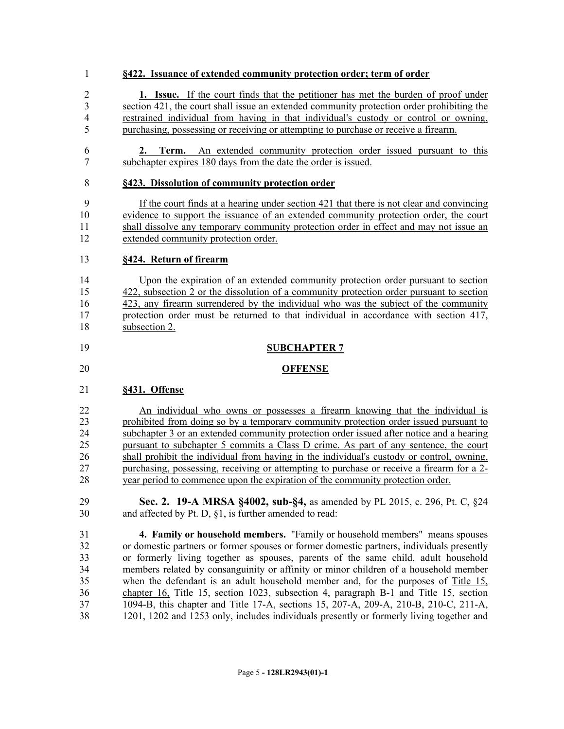#### **§422. Issuance of extended community protection order; term of order**

 **1. Issue.** If the court finds that the petitioner has met the burden of proof under section 421, the court shall issue an extended community protection order prohibiting the restrained individual from having in that individual's custody or control or owning, purchasing, possessing or receiving or attempting to purchase or receive a firearm.

 **2. Term.** An extended community protection order issued pursuant to this subchapter expires 180 days from the date the order is issued.

#### **§423. Dissolution of community protection order**

 If the court finds at a hearing under section 421 that there is not clear and convincing evidence to support the issuance of an extended community protection order, the court shall dissolve any temporary community protection order in effect and may not issue an extended community protection order.

#### **§424. Return of firearm**

 Upon the expiration of an extended community protection order pursuant to section 422, subsection 2 or the dissolution of a community protection order pursuant to section 423, any firearm surrendered by the individual who was the subject of the community protection order must be returned to that individual in accordance with section 417, subsection 2.

#### **SUBCHAPTER 7**

#### **OFFENSE**

#### **§431. Offense**

 An individual who owns or possesses a firearm knowing that the individual is prohibited from doing so by a temporary community protection order issued pursuant to subchapter 3 or an extended community protection order issued after notice and a hearing pursuant to subchapter 5 commits a Class D crime. As part of any sentence, the court shall prohibit the individual from having in the individual's custody or control, owning, purchasing, possessing, receiving or attempting to purchase or receive a firearm for a 2- year period to commence upon the expiration of the community protection order.

 **Sec. 2. 19-A MRSA §4002, sub-§4,** as amended by PL 2015, c. 296, Pt. C, §24 and affected by Pt. D, §1, is further amended to read:

 **4. Family or household members.** "Family or household members" means spouses or domestic partners or former spouses or former domestic partners, individuals presently or formerly living together as spouses, parents of the same child, adult household members related by consanguinity or affinity or minor children of a household member when the defendant is an adult household member and, for the purposes of Title 15, chapter 16, Title 15, section 1023, subsection 4, paragraph B-1 and Title 15, section 1094-B, this chapter and Title 17-A, sections 15, 207-A, 209-A, 210-B, 210-C, 211-A, 1201, 1202 and 1253 only, includes individuals presently or formerly living together and